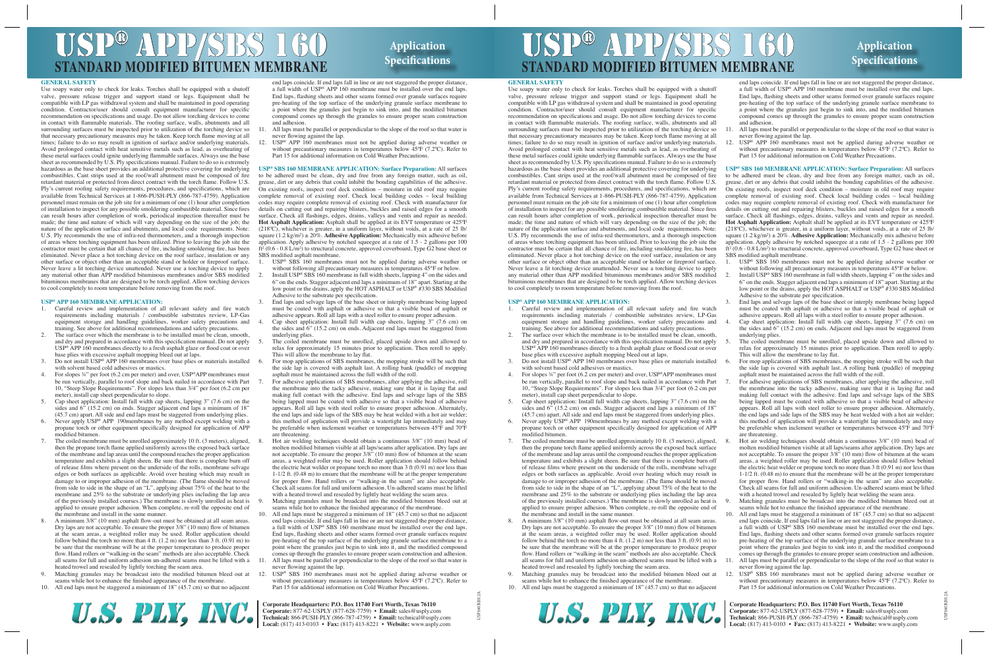# ISP® APP/SBS 160 **STANDARD MODIFIED BIT** USP<sup>®</sup> APP/SBS 160 Application

### **Application Specifications**

### **GENERAL SAFETY**

Use soapy water only to check for leaks. Torches shall be equipped with a shutoff valve, pressure release trigger and support stand or legs. Equipment shall be compatible with LP gas withdrawal system and shall be maintained in good operating condition. Contractor/user should consult equipment manufacturer for specific recommendation on specifications and usage. Do not allow torching devices to come in contact with flammable materials. The roofing surface, walls, abutments and all surrounding surfaces must be inspected prior to utilization of the torching device so that necessary precautionary measures may be taken. Keep torch flame moving at all times; failure to do so may result in ignition of surface and/or underlying materials. Avoid prolonged contact with heat sensitive metals such as lead, as overheating of these metal surfaces could ignite underlying flammable surfaces. Always use the base sheet as recommended by U.S. Ply specifications manual. Failure to do so is extremely hazardous as the base sheet provides an additional protective covering for underlying combustibles. Cant strips used at the roof/wall abutment must be composed of fire retardant material or protected from direct contract with the torch flame. Follow U.S. Ply's current roofing safety requirements, procedures, and specifications, which are available from Technical Services at 1-866-PUSH-PLY (866-787-4759). Application personnel must remain on the job site for a minimum of one (1) hour after completion of installation to inspect for any possible smoldering combustible material. Since fires can result hours after completion of work, periodical inspection thereafter must be made; the time and nature of which will vary depending on the size of the job; the nature of the application surface and abutments, and local code requirements. Note: U.S. Ply recommends the use of infra-red thermometers, and a thorough inspection of areas where torching equipment has been utilized. Prior to leaving the job site the contractor must be certain that all chance of fire, including smoldering fire, has been eliminated. Never place a hot torching device on the roof surface, insulation or any other surface or object other than an acceptable stand or holder or fireproof surface. Never leave a lit torching device unattended. Never use a torching device to apply any material other than APP modified bituminous membranes and/or SBS modified bituminous membranes that are designed to be torch applied. Allow torching devices to cool completely to room temperature before removing from the roof.

#### **USP® APP 160 MEMBRANE APPLICATION:**

- Careful review and implementation of all relevant safety and fire watch requirements including materials / combustible substrates review, LP-Gas equipment storage and handling guidelines, worker safety precautions and training. See above for additional recommendations and safety precautions.
- 2. The surface over which the membrane is to be installed must be clean, smooth, and dry and prepared in accordance with this specification manual. Do not apply USP® APP 160 membranes directly to a fresh asphalt glaze or flood coat or over base plies with excessive asphalt mopping bleed out at laps.
- Do not install USP® APP 160 membranes over base plies or materials installed with solvent based cold adhesives or mastics.
- 4. For slopes ¾" per foot (6.2 cm per meter) and over, USP®APP membranes must be run vertically, parallel to roof slope and back nailed in accordance with Part 10, "Steep Slope Requirements". For slopes less than 3/4" per foot (6.2 cm per meter), install cap sheet perpendicular to slope.
- 5. Cap sheet application: Install full width cap sheets, lapping 3" (7.6 cm) on the sides and 6" (15.2 cm) on ends. Stagger adjacent end laps a minimum of 18" (45.7 cm) apart. All side and end laps must be staggered from underlying plies.
- Never apply USP® APP 190membranes by any method except welding with a propane torch or other equipment specifically designed for application of APP modified bitumen.
- The coiled membrane must be unrolled approximately 10 ft. (3 meters), aligned, then the propane torch flame applied uniformly across the exposed back surface of the membrane and lap areas until the compound reaches the proper application temperature and exhibits a slight sheen. Be sure that there is complete burn off of release films where present on the underside of the rolls, membrane selvage edges or both surfaces as applicable. Avoid over heating which may result in damage to or improper adhesion of the membrane. (The flame should be moved from side to side in the shape of an "L", applying about 75% of the heat to the membrane and 25% to the substrate or underlying plies including the lap area of the previously installed courses.) The membrane is slowly unrolled as heat is applied to ensure proper adhesion. When complete, re-roll the opposite end of the membrane and install in the same manner.
- 8. A minimum 3/8" (10 mm) asphalt flow-out must be obtained at all seam areas. Dry laps are not acceptable. To ensure the proper 3/8" (10 mm) flow of bitumen at the seam areas, a weighted roller may be used. Roller application should follow behind the torch no more than 4 ft. (1.2 m) nor less than 3 ft. (0.91 m) to be sure that the membrane will be at the proper temperature to produce proper flow. Hand rollers or "walking-in the seam" methods are also acceptable. Check all seams for full and uniform adhesion un-adhered seams must be lifted with a heated trowel and resealed by lightly torching the seam area.
- 9. Matching granules may be broadcast into the modified bitumen bleed out at seams while hot to enhance the finished appearance of the membrane.
- 10. All end laps must be staggered a minimum of 18" (45.7 cm) so that no adjacent



end laps coincide. If end laps fall in line or are not staggered the proper distance, a full width of USP® APP 160 membrane must be installed over the end laps. End laps, flashing sheets and other seams formed over granule surfaces require pre-heating of the top surface of the underlying granule surface membrane to a point where the granules just begin to sink into, and the modified bitumen compound comes up through the granules to ensure proper seam construction and adhesion.

- 11. All laps must be parallel or perpendicular to the slope of the roof so that water is never flowing against the lap.
- USP® APP 160 membranes must not be applied during adverse weather or without precautionary measures in temperatures below 45ºF (7.2ºC). Refer to Part 15 for additional information on Cold Weather Precautions.

**USP® SBS 160 MEMBRANE APPLICATION: Surface Preparation:** All surfaces to be adhered must be clean, dry and free from any foreign matter, such as oil, grease, dirt or any debris that could inhibit the bonding capabilities of the adhesive. On existing roofs, inspect roof deck condition – moisture in old roof may require complete removal of existing roof. Check local building codes – local building codes may require complete removal of existing roof. Check with manufacturer for details on cutting out and repairing blisters, buckles and raised edges for a smooth surface. Check all flashings, edges, drains, valleys and vents and repair as needed. **Hot Asphalt Application:** Asphalt shall be applied at its EVT temperature or 425ºF (218ºC), whichever is greater, in a uniform layer, without voids, at a rate of 25 lb/ square  $(1.2 \text{ kg/m}^2) \pm 20\%$ . **Adhesive Application:** Mechanically mix adhesive before application. Apply adhesive by notched squeegee at a rate of 1.5 - 2 gallons per 100 ft² (0.6 - 0.8 L/m²) to structural concrete, approved coverboard, Type G2 base sheet or SBS modified asphalt membrane.<br>1. USP® SBS 160 membranes

- USP<sup>®</sup> SBS 160 membranes must not be applied during adverse weather or without following all precautionary measures in temperatures 45°F or below.
- Install USP® SBS 160 membrane in full width sheets, lapping 4" on the sides and  $6$ " on the ends. Stagger adjacent end laps a minimum of  $18$ " apart. Starting at the low point or the drains, apply the HOT ASPHALT or USP® #330 SBS Modified Adhesive to the substrate per specification.
- 3. End laps and selvage laps of the base sheet or interply membrane being lapped must be coated with asphalt or adhesive so that a visible bead of asphalt or adhesive appears. Roll all laps with a steel roller to ensure proper adhesion.
- Cap sheet application: Install full width cap sheets, lapping 3" (7.6 cm) on the sides and 6" (15.2 cm) on ends. Adjacent end laps must be staggered from underlying plies.
- The coiled membrane must be unrolled, placed upside down and allowed to relax for approximately 15 minutes prior to application. Then reroll to apply. This will allow the membrane to lay flat.
- 6. For mop applications of SBS membranes, the mopping stroke will be such that the side lap is covered with asphalt last. A rolling bank (puddle) of mopping asphalt must be maintained across the full width of the roll.
- For adhesive applications of SBS membranes, after applying the adhesive, roll the membrane into the tacky adhesive, making sure that it is laying flat and making full contact with the adhesive. End laps and selvage laps of the SBS being lapped must be coated with adhesive so that a visible bead of adhesive appears. Roll all laps with steel roller to ensure proper adhesion. Alternately, the end laps and side laps of the SBS may be heat welded with a hot air welder; this method of application will provide a watertight lap immediately and may be preferable when inclement weather or temperatures between 45ºF and 70ºF are threatening.
- 8. Hot air welding techniques should obtain a continuous 3/8" (10 mm) bead of molten modified bitumen visible at all laps/seams after application. Dry laps are not acceptable. To ensure the proper 3/8" (10 mm) flow of bitumen at the seam areas, a weighted roller may be used. Roller application should follow behind the electric heat welder or propane torch no more than 3 ft (0.91 m) nor less than 1-1/2 ft. (0.48 m) to ensure that the membrane will be at the proper temperature for proper flow. Hand rollers or "walking-in the seam" are also acceptable. Check all seams for full and uniform adhesion. Un-adhered seams must be lifted with a heated trowel and resealed by lightly heat welding the seam area.
- Matching granules must be broadcast into the modified bitumen bleed out at seams while hot to enhance the finished appearance of the membrane.
- All end laps must be staggered a minimum of  $18"$  (45.7 cm) so that no adjacent end laps coincide. If end laps fall in line or are not staggered the proper distance, a full width of USP® SBS 160 membrane must be installed over the end laps. End laps, flashing sheets and other seams formed over granule surfaces require pre-heating of the top surface of the underlying granule surface membrane to a point where the granules just begin to sink into it, and the modified compound comes up through the granules to ensure proper seam construction and adhesion.
- 11. All laps must be parallel or perpendicular to the slope of the roof so that water is never flowing against the lap.
- USP® SBS 160 membranes must not be applied during adverse weather or without precautionary measures in temperatures below  $\overline{45}^{\circ}F$  (7.2 $^{\circ}C$ ). Refer to Part 15 for additional information on Cold Weather Precautions.

#### **Corporate Headquarters: P.O. Box 11740 Fort Worth, Texas 76110**

**Corporate:** 877-62-USPLY (877-628-7759) • **Email:** sales@usply.com **Technical:** 866-PUSH-PLY (866-787-4759) • **Email:** technical@usply.com **Local:** (817) 413-0103 • **Fax:** (817) 413-8221 • **Website:** www.usply.com